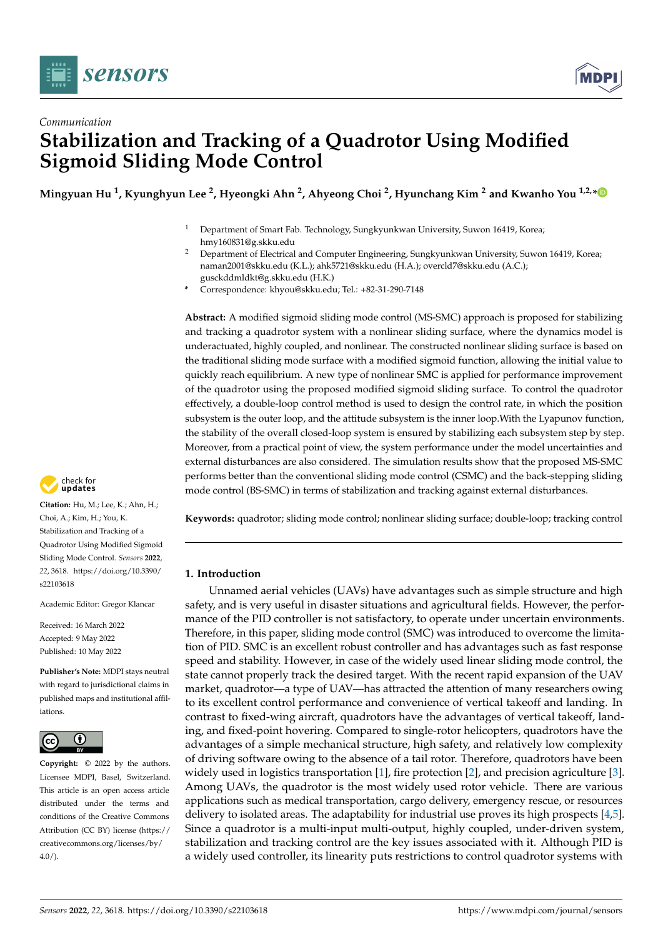



# *Communication* **Stabilization and Tracking of a Quadrotor Using Modified Sigmoid Sliding Mode Control**

**Mingyuan Hu <sup>1</sup> , Kyunghyun Lee <sup>2</sup> , Hyeongki Ahn <sup>2</sup> , Ahyeong Choi <sup>2</sup> , Hyunchang Kim <sup>2</sup> and Kwanho You 1,2,[\\*](https://orcid.org/0000-0001-6438-8823)**

- <sup>1</sup> Department of Smart Fab. Technology, Sungkyunkwan University, Suwon 16419, Korea; hmy160831@g.skku.edu
- <sup>2</sup> Department of Electrical and Computer Engineering, Sungkyunkwan University, Suwon 16419, Korea; naman2001@skku.edu (K.L.); ahk5721@skku.edu (H.A.); overcld7@skku.edu (A.C.); gusckddmldkt@g.skku.edu (H.K.)
- **\*** Correspondence: khyou@skku.edu; Tel.: +82-31-290-7148

**Abstract:** A modified sigmoid sliding mode control (MS-SMC) approach is proposed for stabilizing and tracking a quadrotor system with a nonlinear sliding surface, where the dynamics model is underactuated, highly coupled, and nonlinear. The constructed nonlinear sliding surface is based on the traditional sliding mode surface with a modified sigmoid function, allowing the initial value to quickly reach equilibrium. A new type of nonlinear SMC is applied for performance improvement of the quadrotor using the proposed modified sigmoid sliding surface. To control the quadrotor effectively, a double-loop control method is used to design the control rate, in which the position subsystem is the outer loop, and the attitude subsystem is the inner loop.With the Lyapunov function, the stability of the overall closed-loop system is ensured by stabilizing each subsystem step by step. Moreover, from a practical point of view, the system performance under the model uncertainties and external disturbances are also considered. The simulation results show that the proposed MS-SMC performs better than the conventional sliding mode control (CSMC) and the back-stepping sliding mode control (BS-SMC) in terms of stabilization and tracking against external disturbances.

**Keywords:** quadrotor; sliding mode control; nonlinear sliding surface; double-loop; tracking control

# **1. Introduction**

Unnamed aerial vehicles (UAVs) have advantages such as simple structure and high safety, and is very useful in disaster situations and agricultural fields. However, the performance of the PID controller is not satisfactory, to operate under uncertain environments. Therefore, in this paper, sliding mode control (SMC) was introduced to overcome the limitation of PID. SMC is an excellent robust controller and has advantages such as fast response speed and stability. However, in case of the widely used linear sliding mode control, the state cannot properly track the desired target. With the recent rapid expansion of the UAV market, quadrotor—a type of UAV—has attracted the attention of many researchers owing to its excellent control performance and convenience of vertical takeoff and landing. In contrast to fixed-wing aircraft, quadrotors have the advantages of vertical takeoff, landing, and fixed-point hovering. Compared to single-rotor helicopters, quadrotors have the advantages of a simple mechanical structure, high safety, and relatively low complexity of driving software owing to the absence of a tail rotor. Therefore, quadrotors have been widely used in logistics transportation  $[1]$ , fire protection  $[2]$ , and precision agriculture  $[3]$ . Among UAVs, the quadrotor is the most widely used rotor vehicle. There are various applications such as medical transportation, cargo delivery, emergency rescue, or resources delivery to isolated areas. The adaptability for industrial use proves its high prospects [\[4](#page-12-3)[,5\]](#page-12-4). Since a quadrotor is a multi-input multi-output, highly coupled, under-driven system, stabilization and tracking control are the key issues associated with it. Although PID is a widely used controller, its linearity puts restrictions to control quadrotor systems with



**Citation:** Hu, M.; Lee, K.; Ahn, H.; Choi, A.; Kim, H.; You, K. Stabilization and Tracking of a Quadrotor Using Modified Sigmoid Sliding Mode Control. *Sensors* **2022**, *22*, 3618. [https://doi.org/10.3390/](https://doi.org/10.3390/s22103618) [s22103618](https://doi.org/10.3390/s22103618)

Academic Editor: Gregor Klancar

Received: 16 March 2022 Accepted: 9 May 2022 Published: 10 May 2022

**Publisher's Note:** MDPI stays neutral with regard to jurisdictional claims in published maps and institutional affiliations.



**Copyright:** © 2022 by the authors. Licensee MDPI, Basel, Switzerland. This article is an open access article distributed under the terms and conditions of the Creative Commons Attribution (CC BY) license [\(https://](https://creativecommons.org/licenses/by/4.0/) [creativecommons.org/licenses/by/](https://creativecommons.org/licenses/by/4.0/)  $4.0/$ ).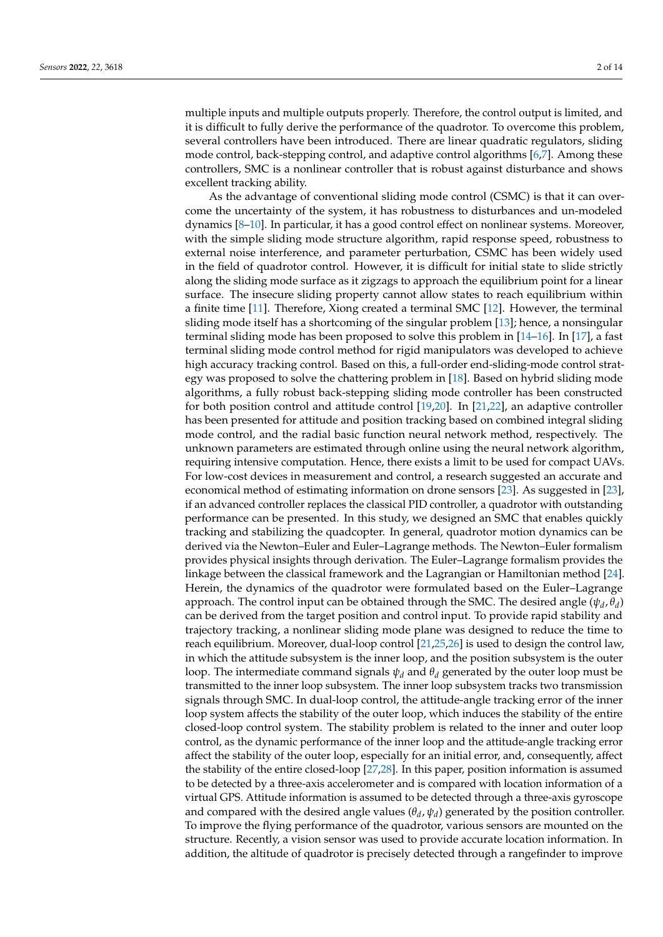multiple inputs and multiple outputs properly. Therefore, the control output is limited, and it is difficult to fully derive the performance of the quadrotor. To overcome this problem, several controllers have been introduced. There are linear quadratic regulators, sliding mode control, back-stepping control, and adaptive control algorithms [\[6,](#page-12-5)[7\]](#page-12-6). Among these controllers, SMC is a nonlinear controller that is robust against disturbance and shows excellent tracking ability.

As the advantage of conventional sliding mode control (CSMC) is that it can overcome the uncertainty of the system, it has robustness to disturbances and un-modeled dynamics [\[8](#page-12-7)[–10\]](#page-12-8). In particular, it has a good control effect on nonlinear systems. Moreover, with the simple sliding mode structure algorithm, rapid response speed, robustness to external noise interference, and parameter perturbation, CSMC has been widely used in the field of quadrotor control. However, it is difficult for initial state to slide strictly along the sliding mode surface as it zigzags to approach the equilibrium point for a linear surface. The insecure sliding property cannot allow states to reach equilibrium within a finite time [\[11\]](#page-12-9). Therefore, Xiong created a terminal SMC [\[12\]](#page-12-10). However, the terminal sliding mode itself has a shortcoming of the singular problem [\[13\]](#page-12-11); hence, a nonsingular terminal sliding mode has been proposed to solve this problem in [\[14](#page-12-12)[–16\]](#page-12-13). In [\[17\]](#page-13-0), a fast terminal sliding mode control method for rigid manipulators was developed to achieve high accuracy tracking control. Based on this, a full-order end-sliding-mode control strategy was proposed to solve the chattering problem in [\[18\]](#page-13-1). Based on hybrid sliding mode algorithms, a fully robust back-stepping sliding mode controller has been constructed for both position control and attitude control [\[19](#page-13-2)[,20\]](#page-13-3). In [\[21](#page-13-4)[,22\]](#page-13-5), an adaptive controller has been presented for attitude and position tracking based on combined integral sliding mode control, and the radial basic function neural network method, respectively. The unknown parameters are estimated through online using the neural network algorithm, requiring intensive computation. Hence, there exists a limit to be used for compact UAVs. For low-cost devices in measurement and control, a research suggested an accurate and economical method of estimating information on drone sensors [\[23\]](#page-13-6). As suggested in [\[23\]](#page-13-6), if an advanced controller replaces the classical PID controller, a quadrotor with outstanding performance can be presented. In this study, we designed an SMC that enables quickly tracking and stabilizing the quadcopter. In general, quadrotor motion dynamics can be derived via the Newton–Euler and Euler–Lagrange methods. The Newton–Euler formalism provides physical insights through derivation. The Euler–Lagrange formalism provides the linkage between the classical framework and the Lagrangian or Hamiltonian method [\[24\]](#page-13-7). Herein, the dynamics of the quadrotor were formulated based on the Euler–Lagrange approach. The control input can be obtained through the SMC. The desired angle  $(\psi_d, \theta_d)$ can be derived from the target position and control input. To provide rapid stability and trajectory tracking, a nonlinear sliding mode plane was designed to reduce the time to reach equilibrium. Moreover, dual-loop control [\[21,](#page-13-4)[25,](#page-13-8)[26\]](#page-13-9) is used to design the control law, in which the attitude subsystem is the inner loop, and the position subsystem is the outer loop. The intermediate command signals  $\psi_d$  and  $\theta_d$  generated by the outer loop must be transmitted to the inner loop subsystem. The inner loop subsystem tracks two transmission signals through SMC. In dual-loop control, the attitude-angle tracking error of the inner loop system affects the stability of the outer loop, which induces the stability of the entire closed-loop control system. The stability problem is related to the inner and outer loop control, as the dynamic performance of the inner loop and the attitude-angle tracking error affect the stability of the outer loop, especially for an initial error, and, consequently, affect the stability of the entire closed-loop [\[27,](#page-13-10)[28\]](#page-13-11). In this paper, position information is assumed to be detected by a three-axis accelerometer and is compared with location information of a virtual GPS. Attitude information is assumed to be detected through a three-axis gyroscope and compared with the desired angle values  $(\theta_d, \psi_d)$  generated by the position controller. To improve the flying performance of the quadrotor, various sensors are mounted on the structure. Recently, a vision sensor was used to provide accurate location information. In addition, the altitude of quadrotor is precisely detected through a rangefinder to improve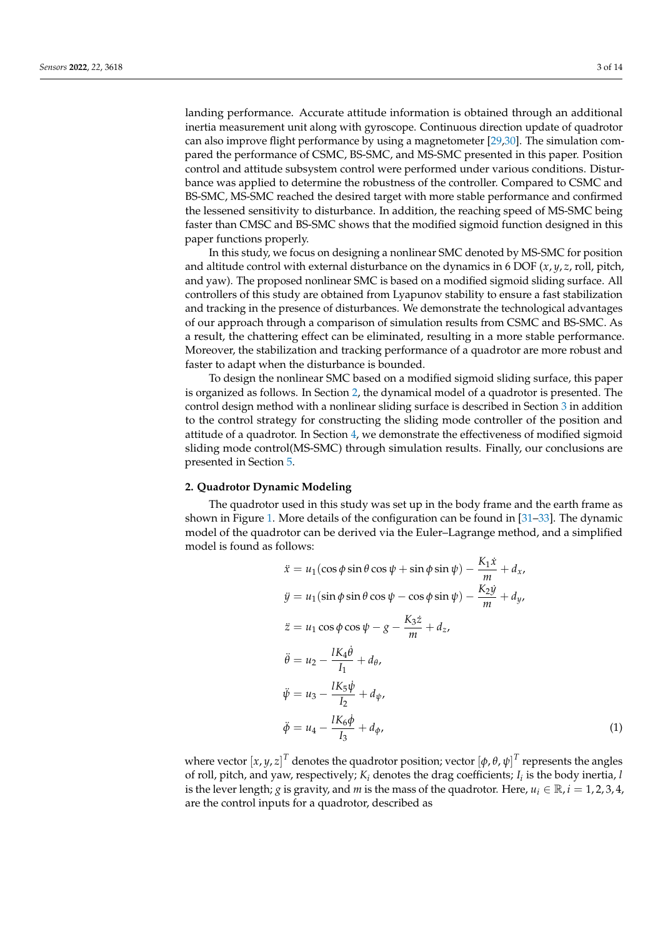landing performance. Accurate attitude information is obtained through an additional inertia measurement unit along with gyroscope. Continuous direction update of quadrotor can also improve flight performance by using a magnetometer [\[29,](#page-13-12)[30\]](#page-13-13). The simulation compared the performance of CSMC, BS-SMC, and MS-SMC presented in this paper. Position control and attitude subsystem control were performed under various conditions. Disturbance was applied to determine the robustness of the controller. Compared to CSMC and BS-SMC, MS-SMC reached the desired target with more stable performance and confirmed the lessened sensitivity to disturbance. In addition, the reaching speed of MS-SMC being faster than CMSC and BS-SMC shows that the modified sigmoid function designed in this paper functions properly.

In this study, we focus on designing a nonlinear SMC denoted by MS-SMC for position and altitude control with external disturbance on the dynamics in 6 DOF (*x*, *y*, *z*, roll, pitch, and yaw). The proposed nonlinear SMC is based on a modified sigmoid sliding surface. All controllers of this study are obtained from Lyapunov stability to ensure a fast stabilization and tracking in the presence of disturbances. We demonstrate the technological advantages of our approach through a comparison of simulation results from CSMC and BS-SMC. As a result, the chattering effect can be eliminated, resulting in a more stable performance. Moreover, the stabilization and tracking performance of a quadrotor are more robust and faster to adapt when the disturbance is bounded.

To design the nonlinear SMC based on a modified sigmoid sliding surface, this paper is organized as follows. In Section [2,](#page-2-0) the dynamical model of a quadrotor is presented. The control design method with a nonlinear sliding surface is described in Section [3](#page-5-0) in addition to the control strategy for constructing the sliding mode controller of the position and attitude of a quadrotor. In Section [4,](#page-9-0) we demonstrate the effectiveness of modified sigmoid sliding mode control(MS-SMC) through simulation results. Finally, our conclusions are presented in Section [5.](#page-12-14)

#### <span id="page-2-0"></span>**2. Quadrotor Dynamic Modeling**

The quadrotor used in this study was set up in the body frame and the earth frame as shown in Figure [1.](#page-4-0) More details of the configuration can be found in [\[31–](#page-13-14)[33\]](#page-13-15). The dynamic model of the quadrotor can be derived via the Euler–Lagrange method, and a simplified model is found as follows:

<span id="page-2-1"></span>
$$
\ddot{x} = u_1(\cos\phi\sin\theta\cos\psi + \sin\phi\sin\psi) - \frac{K_1\dot{x}}{m} + d_x,
$$
  
\n
$$
\ddot{y} = u_1(\sin\phi\sin\theta\cos\psi - \cos\phi\sin\psi) - \frac{K_2\dot{y}}{m} + d_y,
$$
  
\n
$$
\ddot{z} = u_1\cos\phi\cos\psi - g - \frac{K_3\dot{z}}{m} + d_z,
$$
  
\n
$$
\ddot{\theta} = u_2 - \frac{lK_4\dot{\theta}}{l_1} + d_\theta,
$$
  
\n
$$
\ddot{\psi} = u_3 - \frac{lK_5\dot{\psi}}{l_2} + d_\psi,
$$
  
\n
$$
\ddot{\phi} = u_4 - \frac{lK_6\dot{\phi}}{l_3} + d_\phi,
$$
\n(1)

where vector  $[x,y,z]^T$  denotes the quadrotor position; vector  $[\phi,\theta,\psi]^T$  represents the angles of roll, pitch, and yaw, respectively; *K<sup>i</sup>* denotes the drag coefficients; *I<sup>i</sup>* is the body inertia, *l* is the lever length; *g* is gravity, and *m* is the mass of the quadrotor. Here,  $u_i \in \mathbb{R}$ ,  $i = 1, 2, 3, 4$ , are the control inputs for a quadrotor, described as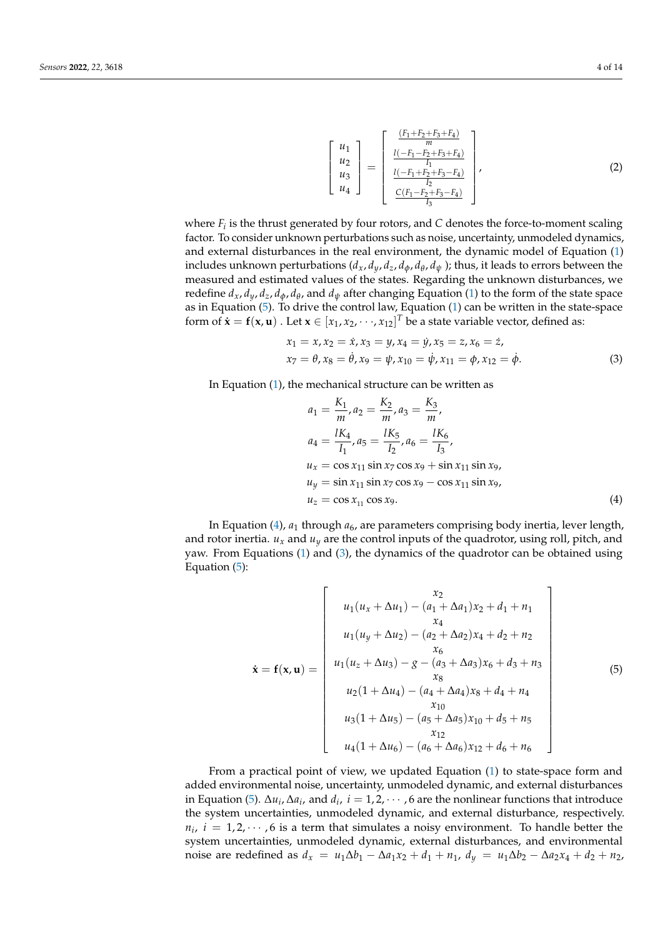$$
\begin{bmatrix} u_1 \\ u_2 \\ u_3 \\ u_4 \end{bmatrix} = \begin{bmatrix} \frac{(F_1 + F_2 + F_3 + F_4)}{I_1} \\ \frac{I(-F_1 - F_2 + F_3 + F_4)}{I_1} \\ \frac{I(-F_1 + F_2 + F_3 - F_4)}{I_2} \\ \frac{C(F_1 - F_2 + F_3 - F_4)}{I_3} \end{bmatrix},
$$
(2)

where  $F_i$  is the thrust generated by four rotors, and  $C$  denotes the force-to-moment scaling factor. To consider unknown perturbations such as noise, uncertainty, unmodeled dynamics, and external disturbances in the real environment, the dynamic model of Equation [\(1\)](#page-2-1) includes unknown perturbations  $(d_x, d_y, d_z, d_\phi, d_\theta, d_\psi$  ); thus, it leads to errors between the measured and estimated values of the states. Regarding the unknown disturbances, we redefine  $d_x$ ,  $d_y$ ,  $d_z$ ,  $d_\phi$ ,  $d_\theta$ , and  $d_\psi$  after changing Equation [\(1\)](#page-2-1) to the form of the state space as in Equation [\(5\)](#page-3-0). To drive the control law, Equation [\(1\)](#page-2-1) can be written in the state-space form of  $\dot{\mathbf{x}} = \mathbf{f}(\mathbf{x}, \mathbf{u})$  . Let  $\mathbf{x} \in [x_1, x_2, \dots, x_{12}]^T$  be a state variable vector, defined as:

$$
x_1 = x, x_2 = \dot{x}, x_3 = y, x_4 = \dot{y}, x_5 = z, x_6 = \dot{z},
$$
  
\n
$$
x_7 = \theta, x_8 = \dot{\theta}, x_9 = \psi, x_{10} = \dot{\psi}, x_{11} = \phi, x_{12} = \dot{\phi}.
$$
\n(3)

In Equation [\(1\)](#page-2-1), the mechanical structure can be written as

<span id="page-3-2"></span><span id="page-3-1"></span>
$$
a_1 = \frac{K_1}{m}, a_2 = \frac{K_2}{m}, a_3 = \frac{K_3}{m},
$$
  
\n
$$
a_4 = \frac{lK_4}{I_1}, a_5 = \frac{lK_5}{I_2}, a_6 = \frac{lK_6}{I_3},
$$
  
\n
$$
u_x = \cos x_{11} \sin x_7 \cos x_9 + \sin x_{11} \sin x_9,
$$
  
\n
$$
u_y = \sin x_{11} \sin x_7 \cos x_9 - \cos x_{11} \sin x_9,
$$
  
\n
$$
u_z = \cos x_{11} \cos x_9.
$$
  
\n(4)

In Equation [\(4\)](#page-3-1), *a*<sub>1</sub> through *a*<sub>6</sub>, are parameters comprising body inertia, lever length, and rotor inertia.  $u_x$  and  $u_y$  are the control inputs of the quadrotor, using roll, pitch, and yaw. From Equations [\(1\)](#page-2-1) and [\(3\)](#page-3-2), the dynamics of the quadrotor can be obtained using Equation [\(5\)](#page-3-0):

<span id="page-3-0"></span>
$$
\dot{\mathbf{x}} = \mathbf{f}(\mathbf{x}, \mathbf{u}) = \begin{bmatrix} x_2 \\ u_1(u_x + \Delta u_1) - (a_1 + \Delta a_1)x_2 + d_1 + n_1 \\ x_4 \\ u_1(u_y + \Delta u_2) - (a_2 + \Delta a_2)x_4 + d_2 + n_2 \\ x_6 \\ u_1(u_z + \Delta u_3) - g - (a_3 + \Delta a_3)x_6 + d_3 + n_3 \\ x_8 \\ u_2(1 + \Delta u_4) - (a_4 + \Delta a_4)x_8 + d_4 + n_4 \\ x_{10} \\ u_3(1 + \Delta u_5) - (a_5 + \Delta a_5)x_{10} + d_5 + n_5 \\ x_{12} \\ u_4(1 + \Delta u_6) - (a_6 + \Delta a_6)x_{12} + d_6 + n_6 \end{bmatrix}
$$
(5)

From a practical point of view, we updated Equation [\(1\)](#page-2-1) to state-space form and added environmental noise, uncertainty, unmodeled dynamic, and external disturbances in Equation [\(5\)](#page-3-0).  $\Delta u_i$ ,  $\Delta a_i$ , and  $d_i$ ,  $i = 1, 2, \cdots$ , 6 are the nonlinear functions that introduce the system uncertainties, unmodeled dynamic, and external disturbance, respectively.  $n_i$ ,  $i = 1, 2, \cdots, 6$  is a term that simulates a noisy environment. To handle better the system uncertainties, unmodeled dynamic, external disturbances, and environmental noise are redefined as  $d_x = u_1 \Delta b_1 - \Delta a_1 x_2 + d_1 + n_1$ ,  $d_y = u_1 \Delta b_2 - \Delta a_2 x_4 + d_2 + n_2$ ,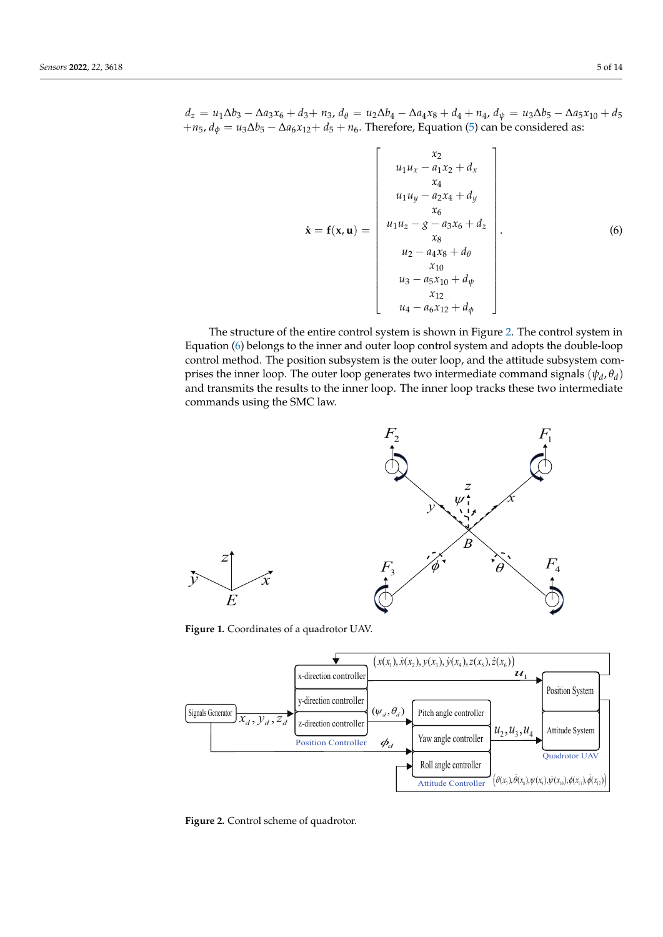<span id="page-4-2"></span>
$$
\dot{\mathbf{x}} = \mathbf{f}(\mathbf{x}, \mathbf{u}) = \begin{bmatrix} x_2 \\ u_1 u_x - a_1 x_2 + d_x \\ x_4 \\ u_1 u_y - a_2 x_4 + d_y \\ x_6 \\ x_6 \\ u_2 - a_3 x_6 + d_z \\ x_8 \\ u_2 - a_4 x_8 + d_\theta \\ x_{10} \\ u_3 - a_5 x_{10} + d_\psi \\ x_{12} \\ u_4 - a_6 x_{12} + d_\phi \end{bmatrix} . \tag{6}
$$

The structure of the entire control system is shown in Figure [2.](#page-4-1) The control system in Equation [\(6\)](#page-4-2) belongs to the inner and outer loop control system and adopts the double-loop control method. The position subsystem is the outer loop, and the attitude subsystem comprises the inner loop. The outer loop generates two intermediate command signals  $(\psi_d, \theta_d)$ and transmits the results to the inner loop. The inner loop tracks these two intermediate commands using the SMC law.

<span id="page-4-0"></span>

 $F_1$  $F<sub>3</sub>$ *F*<sup>4</sup>  $F<sub>2</sub>$ *B*  $\phi^*$  $\psi$  i *z x y*  $\theta$ 

<span id="page-4-1"></span>**Figure 1.** Coordinates of a quadrotor UAV.



**Figure 2.** Control scheme of quadrotor.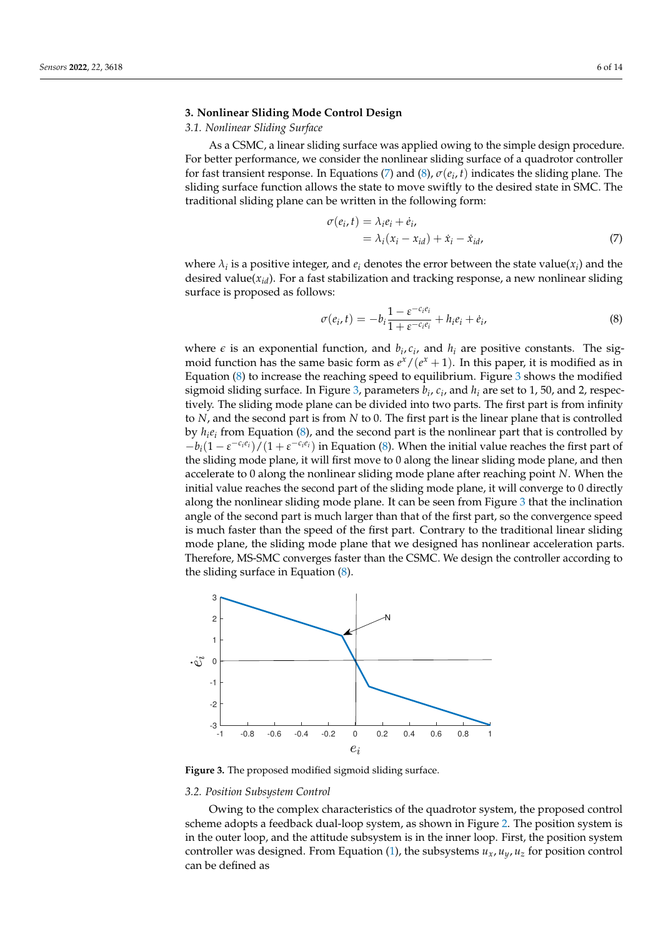### <span id="page-5-0"></span>**3. Nonlinear Sliding Mode Control Design**

## *3.1. Nonlinear Sliding Surface*

As a CSMC, a linear sliding surface was applied owing to the simple design procedure. For better performance, we consider the nonlinear sliding surface of a quadrotor controller for fast transient response. In Equations [\(7\)](#page-5-1) and [\(8\)](#page-5-2), *σ*(*e<sup>i</sup>* , *t*) indicates the sliding plane. The sliding surface function allows the state to move swiftly to the desired state in SMC. The traditional sliding plane can be written in the following form:

<span id="page-5-1"></span>
$$
\sigma(e_i, t) = \lambda_i e_i + \dot{e}_i,
$$
  
=  $\lambda_i (x_i - x_{id}) + \dot{x}_i - \dot{x}_{id},$  (7)

where  $\lambda_i$  is a positive integer, and  $e_i$  denotes the error between the state value( $x_i$ ) and the desired value( $x_{id}$ ). For a fast stabilization and tracking response, a new nonlinear sliding surface is proposed as follows:

<span id="page-5-2"></span>
$$
\sigma(e_i, t) = -b_i \frac{1 - \varepsilon^{-c_i e_i}}{1 + \varepsilon^{-c_i e_i}} + h_i e_i + \dot{e}_i,
$$
\n(8)

where  $\epsilon$  is an exponential function, and  $b_i$ ,  $c_i$ , and  $h_i$  are positive constants. The sigmoid function has the same basic form as  $e^x/(e^x+1)$ . In this paper, it is modified as in Equation  $(8)$  to increase the reaching speed to equilibrium. Figure [3](#page-5-3) shows the modified sigmoid sliding surface. In Figure [3,](#page-5-3) parameters  $b_i$ ,  $c_i$ , and  $h_i$  are set to 1, 50, and 2, respectively. The sliding mode plane can be divided into two parts. The first part is from infinity to *N*, and the second part is from *N* to 0. The first part is the linear plane that is controlled by *h<sup>i</sup> ei* from Equation [\(8\)](#page-5-2), and the second part is the nonlinear part that is controlled by  $-b_i(1 - \varepsilon^{-c_i e_i})/(1 + \varepsilon^{-c_i e_i})$  in Equation [\(8\)](#page-5-2). When the initial value reaches the first part of the sliding mode plane, it will first move to 0 along the linear sliding mode plane, and then accelerate to 0 along the nonlinear sliding mode plane after reaching point *N*. When the initial value reaches the second part of the sliding mode plane, it will converge to 0 directly along the nonlinear sliding mode plane. It can be seen from Figure [3](#page-5-3) that the inclination angle of the second part is much larger than that of the first part, so the convergence speed is much faster than the speed of the first part. Contrary to the traditional linear sliding mode plane, the sliding mode plane that we designed has nonlinear acceleration parts. Therefore, MS-SMC converges faster than the CSMC. We design the controller according to the sliding surface in Equation [\(8\)](#page-5-2).

<span id="page-5-3"></span>

**Figure 3.** The proposed modified sigmoid sliding surface.

#### *3.2. Position Subsystem Control*

Owing to the complex characteristics of the quadrotor system, the proposed control scheme adopts a feedback dual-loop system, as shown in Figure [2.](#page-4-1) The position system is in the outer loop, and the attitude subsystem is in the inner loop. First, the position system controller was designed. From Equation [\(1\)](#page-2-1), the subsystems  $u_x$ ,  $u_y$ ,  $u_z$  for position control can be defined as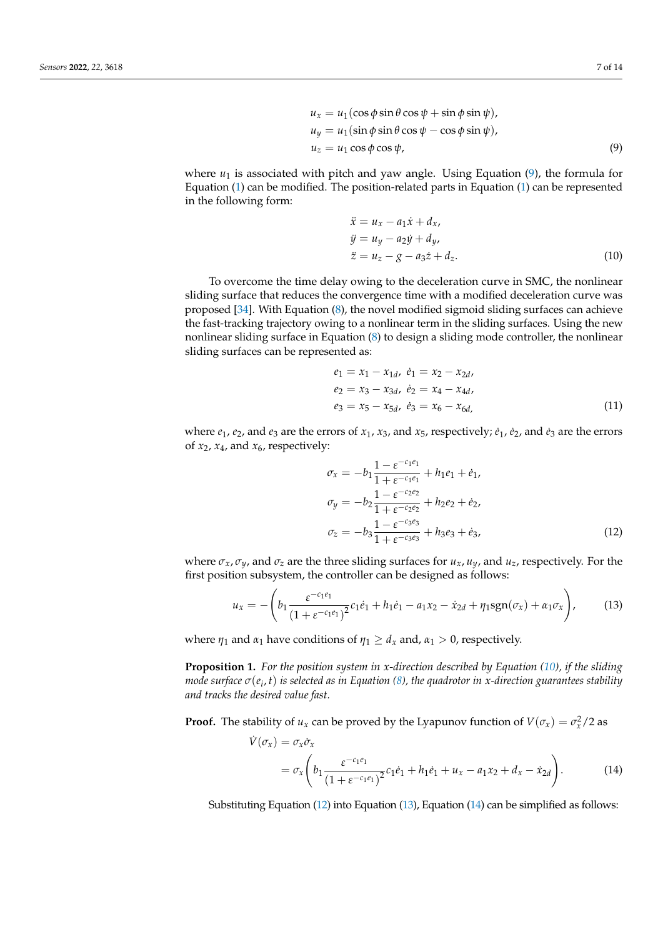$$
u_x = u_1(\cos \phi \sin \theta \cos \psi + \sin \phi \sin \psi),
$$
  
\n
$$
u_y = u_1(\sin \phi \sin \theta \cos \psi - \cos \phi \sin \psi),
$$
  
\n
$$
u_z = u_1 \cos \phi \cos \psi,
$$
\n(9)

where  $u_1$  is associated with pitch and yaw angle. Using Equation  $(9)$ , the formula for Equation [\(1\)](#page-2-1) can be modified. The position-related parts in Equation [\(1\)](#page-2-1) can be represented in the following form:

<span id="page-6-1"></span><span id="page-6-0"></span>
$$
\ddot{x} = u_x - a_1 \dot{x} + d_x,
$$
  
\n
$$
\ddot{y} = u_y - a_2 \dot{y} + d_y,
$$
  
\n
$$
\ddot{z} = u_z - g - a_3 \dot{z} + d_z.
$$
\n(10)

To overcome the time delay owing to the deceleration curve in SMC, the nonlinear sliding surface that reduces the convergence time with a modified deceleration curve was proposed [\[34\]](#page-13-16). With Equation [\(8\)](#page-5-2), the novel modified sigmoid sliding surfaces can achieve the fast-tracking trajectory owing to a nonlinear term in the sliding surfaces. Using the new nonlinear sliding surface in Equation [\(8\)](#page-5-2) to design a sliding mode controller, the nonlinear sliding surfaces can be represented as:

$$
e_1 = x_1 - x_{1d}, \quad e_1 = x_2 - x_{2d},
$$
  
\n
$$
e_2 = x_3 - x_{3d}, \quad e_2 = x_4 - x_{4d},
$$
  
\n
$$
e_3 = x_5 - x_{5d}, \quad e_3 = x_6 - x_{6d},
$$
  
\n(11)

where  $e_1$ ,  $e_2$ , and  $e_3$  are the errors of  $x_1$ ,  $x_3$ , and  $x_5$ , respectively;  $\dot{e}_1$ ,  $\dot{e}_2$ , and  $\dot{e}_3$  are the errors of  $x_2$ ,  $x_4$ , and  $x_6$ , respectively:

<span id="page-6-3"></span><span id="page-6-2"></span>
$$
\sigma_x = -b_1 \frac{1 - \varepsilon^{-c_1 e_1}}{1 + \varepsilon^{-c_1 e_1}} + h_1 e_1 + \dot{e}_1,
$$
  
\n
$$
\sigma_y = -b_2 \frac{1 - \varepsilon^{-c_2 e_2}}{1 + \varepsilon^{-c_2 e_2}} + h_2 e_2 + \dot{e}_2,
$$
  
\n
$$
\sigma_z = -b_3 \frac{1 - \varepsilon^{-c_3 e_3}}{1 + \varepsilon^{-c_3 e_3}} + h_3 e_3 + \dot{e}_3,
$$
\n(12)

where  $\sigma_x$ ,  $\sigma_y$ , and  $\sigma_z$  are the three sliding surfaces for  $u_x$ ,  $u_y$ , and  $u_z$ , respectively. For the first position subsystem, the controller can be designed as follows:

$$
u_x = -\left(b_1 \frac{\varepsilon^{-c_1 e_1}}{(1 + \varepsilon^{-c_1 e_1})^2} c_1 e_1 + h_1 e_1 - a_1 x_2 - \dot{x}_{2d} + \eta_1 \text{sgn}(\sigma_x) + \alpha_1 \sigma_x\right),\tag{13}
$$

where  $\eta_1$  and  $\alpha_1$  have conditions of  $\eta_1 \geq d_x$  and,  $\alpha_1 > 0$ , respectively.

**Proposition 1.** *For the position system in x-direction described by Equation [\(10\)](#page-6-1), if the sliding mode surface σ*(*e<sup>i</sup>* , *t*) *is selected as in Equation [\(8\)](#page-5-2), the quadrotor in x-direction guarantees stability and tracks the desired value fast.*

**Proof.** The stability of  $u_x$  can be proved by the Lyapunov function of  $V(\sigma_x) = \sigma_x^2/2$  as

<span id="page-6-4"></span>
$$
\dot{V}(\sigma_x) = \sigma_x \dot{\sigma}_x
$$
\n
$$
= \sigma_x \left( b_1 \frac{\varepsilon^{-c_1 e_1}}{(1 + \varepsilon^{-c_1 e_1})^2} c_1 \dot{e}_1 + h_1 \dot{e}_1 + u_x - a_1 x_2 + d_x - \dot{x}_{2d} \right).
$$
\n(14)

Substituting Equation [\(12\)](#page-6-2) into Equation [\(13\)](#page-6-3), Equation [\(14\)](#page-6-4) can be simplified as follows: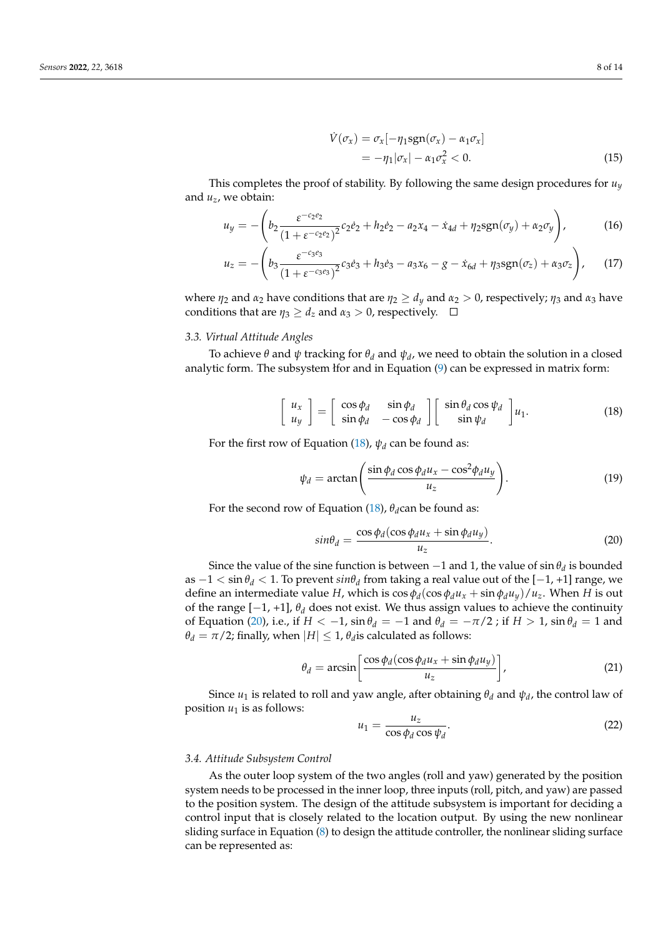<span id="page-7-3"></span><span id="page-7-2"></span>
$$
\dot{V}(\sigma_x) = \sigma_x [-\eta_1 \text{sgn}(\sigma_x) - \alpha_1 \sigma_x]
$$
  
=  $-\eta_1 |\sigma_x| - \alpha_1 \sigma_x^2 < 0.$  (15)

This completes the proof of stability. By following the same design procedures for  $u_y$ and *uz*, we obtain:

$$
u_y = -\left(b_2 \frac{\varepsilon^{-c_2 e_2}}{(1 + \varepsilon^{-c_2 e_2})^2} c_2 e_2 + h_2 e_2 - a_2 x_4 - \dot{x}_{4d} + \eta_2 \text{sgn}(\sigma_y) + \alpha_2 \sigma_y\right),\tag{16}
$$

$$
u_z = -\left(b_3 \frac{\varepsilon^{-c_3 e_3}}{(1 + \varepsilon^{-c_3 e_3})^2} c_3 \dot{e}_3 + h_3 \dot{e}_3 - a_3 x_6 - g - \dot{x}_{6d} + \eta_3 \text{sgn}(\sigma_z) + \alpha_3 \sigma_z\right), \quad (17)
$$

where  $\eta_2$  and  $\alpha_2$  have conditions that are  $\eta_2 \geq d_y$  and  $\alpha_2 > 0$ , respectively;  $\eta_3$  and  $\alpha_3$  have conditions that are  $\eta_3 \geq d_z$  and  $\alpha_3 > 0$ , respectively.  $\Box$ 

## *3.3. Virtual Attitude Angles*

To achieve *θ* and *ψ* tracking for *θ<sup>d</sup>* and *ψ<sup>d</sup>* , we need to obtain the solution in a closed analytic form. The subsystem łfor and in Equation [\(9\)](#page-6-0) can be expressed in matrix form:

$$
\begin{bmatrix} u_x \\ u_y \end{bmatrix} = \begin{bmatrix} \cos \phi_d & \sin \phi_d \\ \sin \phi_d & -\cos \phi_d \end{bmatrix} \begin{bmatrix} \sin \theta_d \cos \psi_d \\ \sin \psi_d \end{bmatrix} u_1.
$$
 (18)

For the first row of Equation [\(18\)](#page-7-0),  $\psi_d$  can be found as:

<span id="page-7-0"></span>
$$
\psi_d = \arctan\left(\frac{\sin\phi_d\cos\phi_d u_x - \cos^2\phi_d u_y}{u_z}\right).
$$
\n(19)

For the second row of Equation [\(18\)](#page-7-0),  $\theta_d$ can be found as:

<span id="page-7-1"></span>
$$
sin\theta_d = \frac{\cos\phi_d(\cos\phi_d u_x + \sin\phi_d u_y)}{u_z}.
$$
\n(20)

Since the value of the sine function is between  $-1$  and 1, the value of  $\sin \theta_d$  is bounded as −1 < sin *θ<sup>d</sup>* < 1. To prevent *sinθ<sup>d</sup>* from taking a real value out of the [−1, +1] range, we define an intermediate value *H*, which is  $\cos \phi_d (\cos \phi_d u_x + \sin \phi_d u_y)/u_z$ . When *H* is out of the range [−1, +1], *θ<sup>d</sup>* does not exist. We thus assign values to achieve the continuity of Equation [\(20\)](#page-7-1), i.e., if  $H < -1$ ,  $\sin \theta_d = -1$  and  $\theta_d = -\pi/2$ ; if  $H > 1$ ,  $\sin \theta_d = 1$  and  $\theta_d = \pi/2$ ; finally, when  $|H| \leq 1$ ,  $\theta_d$  is calculated as follows:

$$
\theta_d = \arcsin\left[\frac{\cos\phi_d(\cos\phi_d u_x + \sin\phi_d u_y)}{u_z}\right],\tag{21}
$$

Since  $u_1$  is related to roll and yaw angle, after obtaining  $\theta_d$  and  $\psi_d$ , the control law of position  $u_1$  is as follows:

$$
u_1 = \frac{u_z}{\cos \phi_d \cos \psi_d}.
$$
 (22)

#### *3.4. Attitude Subsystem Control*

As the outer loop system of the two angles (roll and yaw) generated by the position system needs to be processed in the inner loop, three inputs (roll, pitch, and yaw) are passed to the position system. The design of the attitude subsystem is important for deciding a control input that is closely related to the location output. By using the new nonlinear sliding surface in Equation [\(8\)](#page-5-2) to design the attitude controller, the nonlinear sliding surface can be represented as: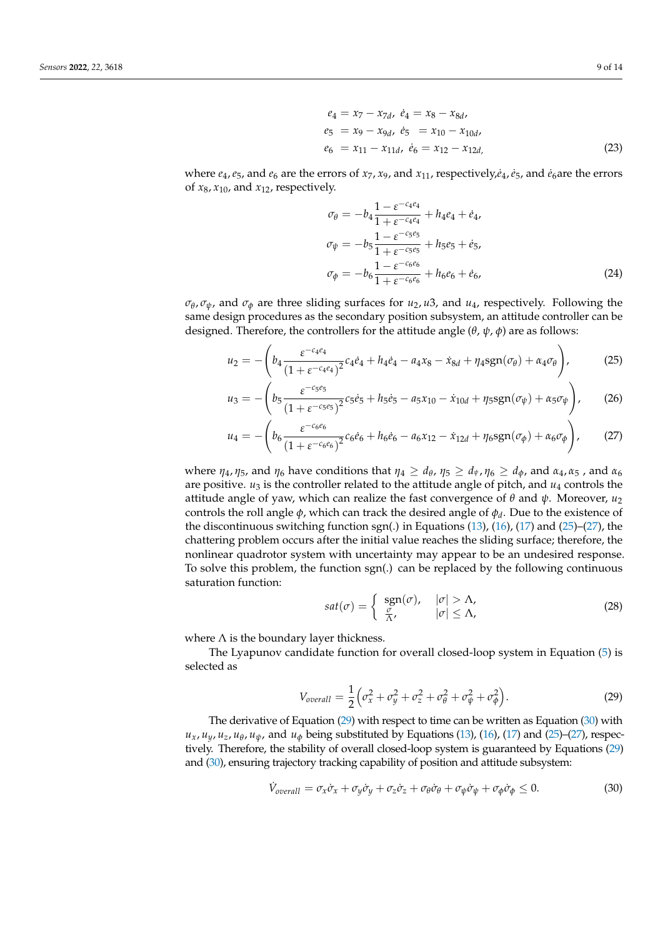$$
e_4 = x_7 - x_{7d}, \quad e_4 = x_8 - x_{8d},
$$
  
\n
$$
e_5 = x_9 - x_{9d}, \quad e_5 = x_{10} - x_{10d},
$$
  
\n
$$
e_6 = x_{11} - x_{11d}, \quad e_6 = x_{12} - x_{12d},
$$
\n(23)

where  $e_4$ ,  $e_5$ , and  $e_6$  are the errors of  $x_7$ ,  $x_9$ , and  $x_{11}$ , respectively, $\dot{e}_4$ ,  $\dot{e}_5$ , and  $\dot{e}_6$  are the errors of  $x_8$ ,  $x_{10}$ , and  $x_{12}$ , respectively.

<span id="page-8-0"></span>
$$
\sigma_{\theta} = -b_4 \frac{1 - \varepsilon^{-c_4 e_4}}{1 + \varepsilon^{-c_4 e_4}} + h_4 e_4 + \dot{e}_4,
$$
\n
$$
\sigma_{\psi} = -b_5 \frac{1 - \varepsilon^{-c_5 e_5}}{1 + \varepsilon^{-c_5 e_5}} + h_5 e_5 + \dot{e}_5,
$$
\n
$$
\sigma_{\phi} = -b_6 \frac{1 - \varepsilon^{-c_6 e_6}}{1 + \varepsilon^{-c_6 e_6}} + h_6 e_6 + \dot{e}_6,
$$
\n(24)

*σθ* , *σψ*, and *σ<sup>φ</sup>* are three sliding surfaces for *u*2, *u*3, and *u*4, respectively. Following the same design procedures as the secondary position subsystem, an attitude controller can be designed. Therefore, the controllers for the attitude angle (*θ*, *ψ*, *φ*) are as follows:

$$
u_2 = -\left(b_4 \frac{\varepsilon^{-c_4 e_4}}{(1 + \varepsilon^{-c_4 e_4})^2} c_4 \dot{e}_4 + h_4 \dot{e}_4 - a_4 x_8 - \dot{x}_{8d} + \eta_4 \text{sgn}(\sigma_\theta) + \alpha_4 \sigma_\theta\right),\tag{25}
$$

$$
u_3 = -\left(b_5 \frac{\varepsilon^{-c_5 \varepsilon_5}}{(1 + \varepsilon^{-c_5 \varepsilon_5})^2} c_5 \dot{e}_5 + h_5 \dot{e}_5 - a_5 x_{10} - \dot{x}_{10d} + \eta_5 \text{sgn}(\sigma_\psi) + \alpha_5 \sigma_\psi\right),\tag{26}
$$

$$
u_4 = -\left(b_6 \frac{\varepsilon^{-c_6 e_6}}{(1 + \varepsilon^{-c_6 e_6})^2} c_6 e_6 + h_6 e_6 - a_6 x_{12} - x_{12d} + \eta_6 \text{sgn}(\sigma_\phi) + \alpha_6 \sigma_\phi\right),\tag{27}
$$

where  $\eta_4$ ,  $\eta_5$ , and  $\eta_6$  have conditions that  $\eta_4 \geq d_\theta$ ,  $\eta_5 \geq d_\psi$ ,  $\eta_6 \geq d_\phi$ , and  $\alpha_4$ ,  $\alpha_5$ , and  $\alpha_6$ are positive.  $u_3$  is the controller related to the attitude angle of pitch, and  $u_4$  controls the attitude angle of yaw, which can realize the fast convergence of *θ* and *ψ*. Moreover, *u*<sup>2</sup> controls the roll angle *φ*, which can track the desired angle of *φ<sup>d</sup>* . Due to the existence of the discontinuous switching function sgn(.) in Equations [\(13\)](#page-6-3), [\(16\)](#page-7-2), [\(17\)](#page-7-3) and [\(25\)](#page-8-0)–[\(27\)](#page-8-1), the chattering problem occurs after the initial value reaches the sliding surface; therefore, the nonlinear quadrotor system with uncertainty may appear to be an undesired response. To solve this problem, the function sgn(.) can be replaced by the following continuous saturation function:

<span id="page-8-1"></span>
$$
sat(\sigma) = \begin{cases} \operatorname{sgn}(\sigma), & |\sigma| > \Lambda, \\ \frac{\sigma}{\Lambda}, & |\sigma| \le \Lambda, \end{cases}
$$
 (28)

where  $\Lambda$  is the boundary layer thickness.

The Lyapunov candidate function for overall closed-loop system in Equation [\(5\)](#page-3-0) is selected as

<span id="page-8-2"></span>
$$
V_{overall} = \frac{1}{2} \left( \sigma_x^2 + \sigma_y^2 + \sigma_z^2 + \sigma_\theta^2 + \sigma_\psi^2 + \sigma_\phi^2 \right). \tag{29}
$$

The derivative of Equation [\(29\)](#page-8-2) with respect to time can be written as Equation [\(30\)](#page-8-3) with  $u_x$ ,  $u_y$ ,  $u_z$ ,  $u_\theta$ ,  $u_\psi$ , and  $u_\phi$  being substituted by Equations [\(13\)](#page-6-3), [\(16\)](#page-7-2), [\(17\)](#page-7-3) and [\(25\)](#page-8-0)–[\(27\)](#page-8-1), respectively. Therefore, the stability of overall closed-loop system is guaranteed by Equations [\(29\)](#page-8-2) and [\(30\)](#page-8-3), ensuring trajectory tracking capability of position and attitude subsystem:

<span id="page-8-3"></span>
$$
\dot{V}_{\text{overall}} = \sigma_x \dot{\sigma}_x + \sigma_y \dot{\sigma}_y + \sigma_z \dot{\sigma}_z + \sigma_\theta \dot{\sigma}_\theta + \sigma_\psi \dot{\sigma}_\psi + \sigma_\phi \dot{\sigma}_\phi \le 0. \tag{30}
$$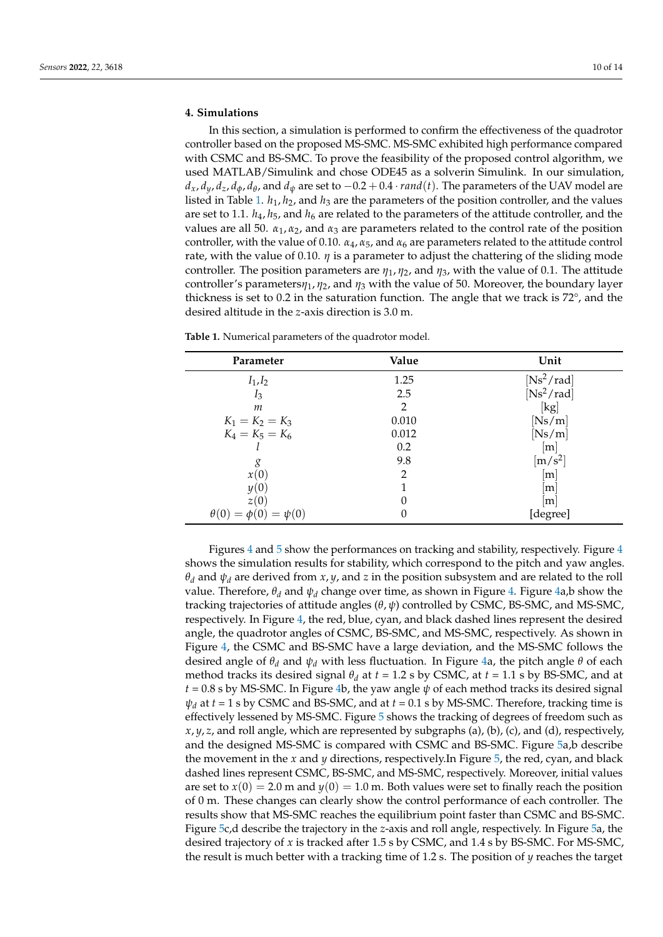# <span id="page-9-0"></span>**4. Simulations**

In this section, a simulation is performed to confirm the effectiveness of the quadrotor controller based on the proposed MS-SMC. MS-SMC exhibited high performance compared with CSMC and BS-SMC. To prove the feasibility of the proposed control algorithm, we used MATLAB/Simulink and chose ODE45 as a solverin Simulink. In our simulation,  $d_x$ ,  $d_y$ ,  $d_z$ ,  $d_\phi$ ,  $d_\theta$ , and  $d_\psi$  are set to  $-0.2 + 0.4 \cdot rand(t)$ . The parameters of the UAV model are listed in Table [1.](#page-9-1)  $h_1$ ,  $h_2$ , and  $h_3$  are the parameters of the position controller, and the values are set to 1.1.  $h_4$ ,  $h_5$ , and  $h_6$  are related to the parameters of the attitude controller, and the values are all 50.  $\alpha_1, \alpha_2$ , and  $\alpha_3$  are parameters related to the control rate of the position controller, with the value of 0.10.  $\alpha_4$ ,  $\alpha_5$ , and  $\alpha_6$  are parameters related to the attitude control rate, with the value of 0.10.  $\eta$  is a parameter to adjust the chattering of the sliding mode controller. The position parameters are  $\eta_1$ ,  $\eta_2$ , and  $\eta_3$ , with the value of 0.1. The attitude controller's parameters*η*1, *η*2, and *η*<sup>3</sup> with the value of 50. Moreover, the boundary layer thickness is set to 0.2 in the saturation function. The angle that we track is 72°, and the desired altitude in the *z*-axis direction is 3.0 m.

| Parameter                       | Value          | Unit                          |
|---------------------------------|----------------|-------------------------------|
| $I_1, I_2$                      | 1.25           | $[Ns^2/rad]$                  |
| $I_3$                           | 2.5            | $[Ns^2/rad]$                  |
| m                               | $\overline{2}$ | [kg]                          |
| $K_1 = K_2 = K_3$               | 0.010          | [Ns/m]                        |
| $K_4 = K_5 = K_6$               | 0.012          | [Ns/m]                        |
|                                 | 0.2            | m                             |
| g                               | 9.8            | $\left[\mathrm{m/s^2}\right]$ |
| x(0)                            | $\overline{2}$ | m                             |
| y(0)                            |                | m                             |
| z(0)                            | 0              | m                             |
| $\theta(0) = \phi(0) = \psi(0)$ | 0              | [degree]                      |

<span id="page-9-1"></span>**Table 1.** Numerical parameters of the quadrotor model.

Figures [4](#page-10-0) and [5](#page-11-0) show the performances on tracking and stability, respectively. Figure [4](#page-10-0) shows the simulation results for stability, which correspond to the pitch and yaw angles. *θ<sup>d</sup>* and *ψ<sup>d</sup>* are derived from *x*, *y*, and *z* in the position subsystem and are related to the roll value. Therefore,  $\theta_d$  and  $\psi_d$  change over time, as shown in Figure [4.](#page-10-0) Figure [4a](#page-10-0),b show the tracking trajectories of attitude angles (*θ*, *ψ*) controlled by CSMC, BS-SMC, and MS-SMC, respectively. In Figure [4,](#page-10-0) the red, blue, cyan, and black dashed lines represent the desired angle, the quadrotor angles of CSMC, BS-SMC, and MS-SMC, respectively. As shown in Figure [4,](#page-10-0) the CSMC and BS-SMC have a large deviation, and the MS-SMC follows the desired angle of  $\theta_d$  and  $\psi_d$  with less fluctuation. In Figure [4a](#page-10-0), the pitch angle  $\theta$  of each method tracks its desired signal  $\theta_d$  at  $t = 1.2$  s by CSMC, at  $t = 1.1$  s by BS-SMC, and at  $t = 0.8$  s by MS-SMC. In Figure [4b](#page-10-0), the yaw angle  $\psi$  of each method tracks its desired signal  $\psi_d$  at  $t = 1$  s by CSMC and BS-SMC, and at  $t = 0.1$  s by MS-SMC. Therefore, tracking time is effectively lessened by MS-SMC. Figure [5](#page-11-0) shows the tracking of degrees of freedom such as *x*, *y*, *z*, and roll angle, which are represented by subgraphs (a), (b), (c), and (d), respectively, and the designed MS-SMC is compared with CSMC and BS-SMC. Figure [5a](#page-11-0),b describe the movement in the *x* and *y* directions, respectively.In Figure [5,](#page-11-0) the red, cyan, and black dashed lines represent CSMC, BS-SMC, and MS-SMC, respectively. Moreover, initial values are set to  $x(0) = 2.0$  m and  $y(0) = 1.0$  m. Both values were set to finally reach the position of 0 m. These changes can clearly show the control performance of each controller. The results show that MS-SMC reaches the equilibrium point faster than CSMC and BS-SMC. Figure [5c](#page-11-0),d describe the trajectory in the *z*-axis and roll angle, respectively. In Figure [5a](#page-11-0), the desired trajectory of *x* is tracked after 1.5 s by CSMC, and 1.4 s by BS-SMC. For MS-SMC, the result is much better with a tracking time of 1.2 s. The position of *y* reaches the target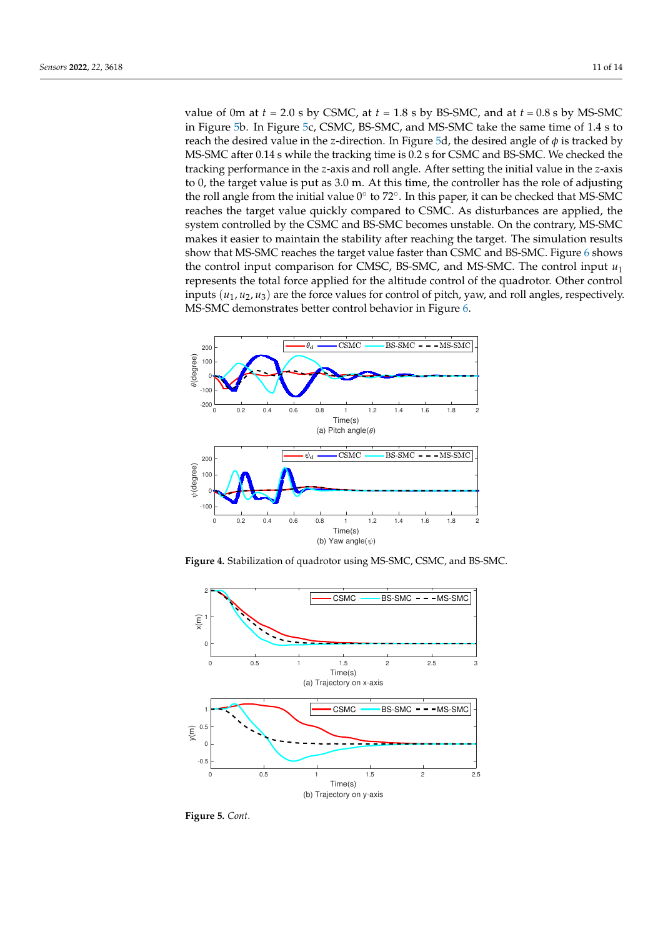value of 0m at  $t = 2.0$  s by CSMC, at  $t = 1.8$  s by BS-SMC, and at  $t = 0.8$  s by MS-SMC in Figure [5b](#page-11-0). In Figure [5c](#page-11-0), CSMC, BS-SMC, and MS-SMC take the same time of 1.4 s to reach the desired value in the *z*-direction. In Figure [5d](#page-11-0), the desired angle of  $\phi$  is tracked by MS-SMC after 0.14 s while the tracking time is 0.2 s for CSMC and BS-SMC. We checked the tracking performance in the *z*-axis and roll angle. After setting the initial value in the *z*-axis to 0, the target value is put as 3.0 m. At this time, the controller has the role of adjusting the roll angle from the initial value  $0^{\circ}$  to  $72^{\circ}$ . In this paper, it can be checked that MS-SMC reaches the target value quickly compared to CSMC. As disturbances are applied, the system controlled by the CSMC and BS-SMC becomes unstable. On the contrary, MS-SMC makes it easier to maintain the stability after reaching the target. The simulation results show that MS-SMC reaches the target value faster than CSMC and BS-SMC. Figure [6](#page-11-1) shows the control input comparison for CMSC, BS-SMC, and MS-SMC. The control input *u*<sup>1</sup> represents the total force applied for the altitude control of the quadrotor. Other control inputs  $(u_1, u_2, u_3)$  are the force values for control of pitch, yaw, and roll angles, respectively. MS-SMC demonstrates better control behavior in Figure [6.](#page-11-1)

<span id="page-10-0"></span>

**Figure 4.** Stabilization of quadrotor using MS-SMC, CSMC, and BS-SMC.



**Figure 5.** *Cont*.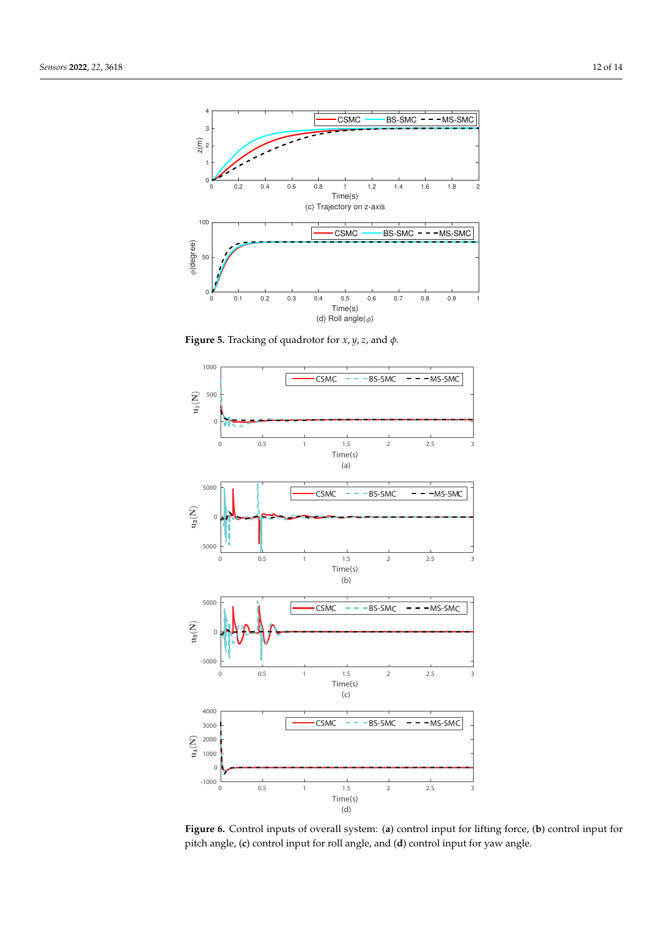<span id="page-11-0"></span>

**Figure 5.** Tracking of quadrotor for *x*, *y*, *z*, and *φ*.

<span id="page-11-1"></span>

**Figure 6.** Control inputs of overall system: (**a**) control input for lifting force, (**b**) control input for pitch angle, (**c**) control input for roll angle, and (**d**) control input for yaw angle.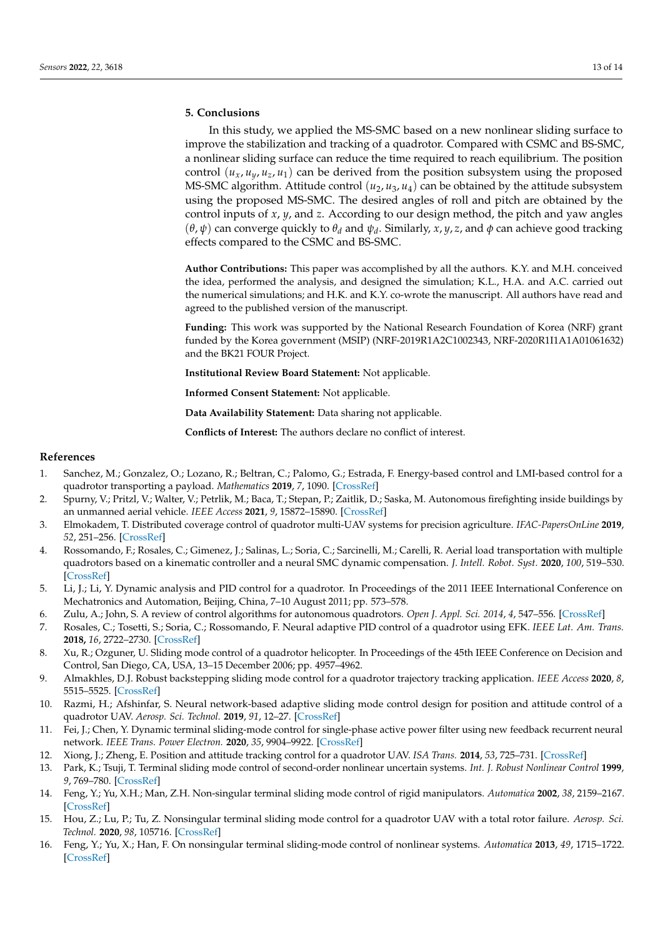# <span id="page-12-14"></span>**5. Conclusions**

In this study, we applied the MS-SMC based on a new nonlinear sliding surface to improve the stabilization and tracking of a quadrotor. Compared with CSMC and BS-SMC, a nonlinear sliding surface can reduce the time required to reach equilibrium. The position control  $(u_x, u_y, u_z, u_1)$  can be derived from the position subsystem using the proposed MS-SMC algorithm. Attitude control  $(u_2, u_3, u_4)$  can be obtained by the attitude subsystem using the proposed MS-SMC. The desired angles of roll and pitch are obtained by the control inputs of *x*, *y*, and *z*. According to our design method, the pitch and yaw angles (*θ*, *ψ*) can converge quickly to *θ<sup>d</sup>* and *ψ<sup>d</sup>* . Similarly, *x*, *y*, *z*, and *φ* can achieve good tracking effects compared to the CSMC and BS-SMC.

**Author Contributions:** This paper was accomplished by all the authors. K.Y. and M.H. conceived the idea, performed the analysis, and designed the simulation; K.L., H.A. and A.C. carried out the numerical simulations; and H.K. and K.Y. co-wrote the manuscript. All authors have read and agreed to the published version of the manuscript.

**Funding:** This work was supported by the National Research Foundation of Korea (NRF) grant funded by the Korea government (MSIP) (NRF-2019R1A2C1002343, NRF-2020R1I1A1A01061632) and the BK21 FOUR Project.

**Institutional Review Board Statement:** Not applicable.

**Informed Consent Statement:** Not applicable.

**Data Availability Statement:** Data sharing not applicable.

**Conflicts of Interest:** The authors declare no conflict of interest.

## **References**

- <span id="page-12-0"></span>1. Sanchez, M.; Gonzalez, O.; Lozano, R.; Beltran, C.; Palomo, G.; Estrada, F. Energy-based control and LMI-based control for a quadrotor transporting a payload. *Mathematics* **2019**, *7*, 1090. [\[CrossRef\]](http://doi.org/10.3390/math7111090)
- <span id="page-12-1"></span>2. Spurny, V.; Pritzl, V.; Walter, V.; Petrlik, M.; Baca, T.; Stepan, P.; Zaitlik, D.; Saska, M. Autonomous firefighting inside buildings by an unmanned aerial vehicle. *IEEE Access* **2021**, *9*, 15872–15890. [\[CrossRef\]](http://dx.doi.org/10.1109/ACCESS.2021.3052967)
- <span id="page-12-2"></span>3. Elmokadem, T. Distributed coverage control of quadrotor multi-UAV systems for precision agriculture. *IFAC-PapersOnLine* **2019**, *52*, 251–256. [\[CrossRef\]](http://dx.doi.org/10.1016/j.ifacol.2019.12.530)
- <span id="page-12-3"></span>4. Rossomando, F.; Rosales, C.; Gimenez, J.; Salinas, L.; Soria, C.; Sarcinelli, M.; Carelli, R. Aerial load transportation with multiple quadrotors based on a kinematic controller and a neural SMC dynamic compensation. *J. Intell. Robot. Syst.* **2020**, *100*, 519–530. [\[CrossRef\]](http://dx.doi.org/10.1007/s10846-020-01195-z)
- <span id="page-12-4"></span>5. Li, J.; Li, Y. Dynamic analysis and PID control for a quadrotor. In Proceedings of the 2011 IEEE International Conference on Mechatronics and Automation, Beijing, China, 7–10 August 2011; pp. 573–578.
- <span id="page-12-5"></span>6. Zulu, A.; John, S. A review of control algorithms for autonomous quadrotors. *Open J. Appl. Sci. 2014*, *4*, 547–556. [\[CrossRef\]](http://dx.doi.org/10.4236/ojapps.2014.414053)
- <span id="page-12-6"></span>7. Rosales, C.; Tosetti, S.; Soria, C.; Rossomando, F. Neural adaptive PID control of a quadrotor using EFK. *IEEE Lat. Am. Trans.* **2018,** *16*, 2722–2730. [\[CrossRef\]](http://dx.doi.org/10.1109/TLA.2018.8795113)
- <span id="page-12-7"></span>8. Xu, R.; Ozguner, U. Sliding mode control of a quadrotor helicopter. In Proceedings of the 45th IEEE Conference on Decision and Control, San Diego, CA, USA, 13–15 December 2006; pp. 4957–4962.
- 9. Almakhles, D.J. Robust backstepping sliding mode control for a quadrotor trajectory tracking application. *IEEE Access* **2020**, *8*, 5515–5525. [\[CrossRef\]](http://dx.doi.org/10.1109/ACCESS.2019.2962722)
- <span id="page-12-8"></span>10. Razmi, H.; Afshinfar, S. Neural network-based adaptive sliding mode control design for position and attitude control of a quadrotor UAV. *Aerosp. Sci. Technol.* **2019**, *91*, 12–27. [\[CrossRef\]](http://dx.doi.org/10.1016/j.ast.2019.04.055)
- <span id="page-12-9"></span>11. Fei, J.; Chen, Y. Dynamic terminal sliding-mode control for single-phase active power filter using new feedback recurrent neural network. *IEEE Trans. Power Electron.* **2020**, *35*, 9904–9922. [\[CrossRef\]](http://dx.doi.org/10.1109/TPEL.2020.2974470)
- <span id="page-12-10"></span>12. Xiong, J.; Zheng, E. Position and attitude tracking control for a quadrotor UAV. *ISA Trans.* **2014**, *53*, 725–731. [\[CrossRef\]](http://dx.doi.org/10.1016/j.isatra.2014.01.004)
- <span id="page-12-11"></span>13. Park, K.; Tsuji, T. Terminal sliding mode control of second-order nonlinear uncertain systems. *Int. J. Robust Nonlinear Control* **1999**, *9*, 769–780. [\[CrossRef\]](http://dx.doi.org/10.1002/(SICI)1099-1239(199909)9:11<769::AID-RNC435>3.0.CO;2-M)
- <span id="page-12-12"></span>14. Feng, Y.; Yu, X.H.; Man, Z.H. Non-singular terminal sliding mode control of rigid manipulators. *Automatica* **2002**, *38*, 2159–2167. [\[CrossRef\]](http://dx.doi.org/10.1016/S0005-1098(02)00147-4)
- 15. Hou, Z.; Lu, P.; Tu, Z. Nonsingular terminal sliding mode control for a quadrotor UAV with a total rotor failure. *Aerosp. Sci. Technol.* **2020**, *98*, 105716. [\[CrossRef\]](http://dx.doi.org/10.1016/j.ast.2020.105716)
- <span id="page-12-13"></span>16. Feng, Y.; Yu, X.; Han, F. On nonsingular terminal sliding-mode control of nonlinear systems. *Automatica* **2013**, *49*, 1715–1722. [\[CrossRef\]](http://dx.doi.org/10.1016/j.automatica.2013.01.051)